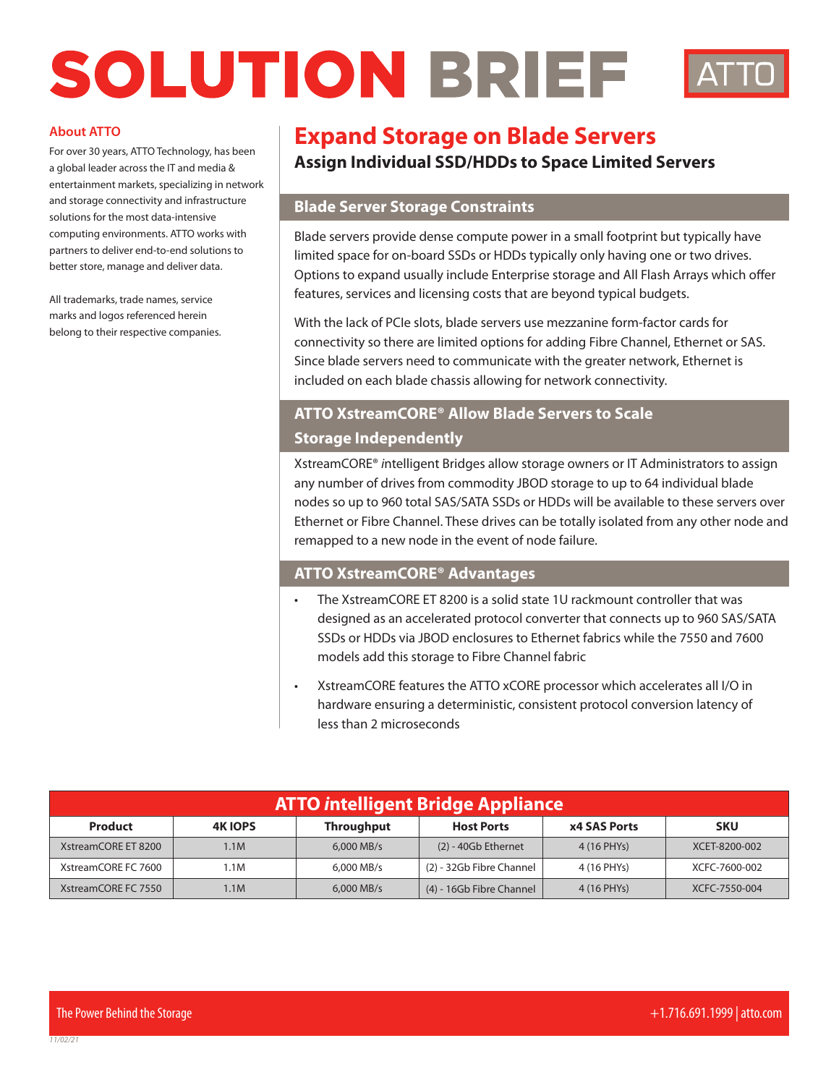# SOLUTION BRIEF



#### **About ATTO**

For over 30 years, ATTO Technology, has been a global leader across the IT and media & entertainment markets, specializing in network and storage connectivity and infrastructure solutions for the most data-intensive computing environments. ATTO works with partners to deliver end-to-end solutions to better store, manage and deliver data.

All trademarks, trade names, service marks and logos referenced herein belong to their respective companies.

# **Expand Storage on Blade Servers**

# **Assign Individual SSD/HDDs to Space Limited Servers**

## **Blade Server Storage Constraints**

Blade servers provide dense compute power in a small footprint but typically have limited space for on-board SSDs or HDDs typically only having one or two drives. Options to expand usually include Enterprise storage and All Flash Arrays which offer features, services and licensing costs that are beyond typical budgets.

With the lack of PCIe slots, blade servers use mezzanine form-factor cards for connectivity so there are limited options for adding Fibre Channel, Ethernet or SAS. Since blade servers need to communicate with the greater network, Ethernet is included on each blade chassis allowing for network connectivity.

# **ATTO XstreamCORE® Allow Blade Servers to Scale Storage Independently**

XstreamCORE® *i*ntelligent Bridges allow storage owners or IT Administrators to assign any number of drives from commodity JBOD storage to up to 64 individual blade nodes so up to 960 total SAS/SATA SSDs or HDDs will be available to these servers over Ethernet or Fibre Channel. These drives can be totally isolated from any other node and remapped to a new node in the event of node failure.

## **ATTO XstreamCORE® Advantages**

- The XstreamCORE ET 8200 is a solid state 1U rackmount controller that was designed as an accelerated protocol converter that connects up to 960 SAS/SATA SSDs or HDDs via JBOD enclosures to Ethernet fabrics while the 7550 and 7600 models add this storage to Fibre Channel fabric
- XstreamCORE features the ATTO xCORE processor which accelerates all I/O in hardware ensuring a deterministic, consistent protocol conversion latency of less than 2 microseconds

| <b>ATTO intelligent Bridge Appliance</b> |                |                   |                          |                     |               |
|------------------------------------------|----------------|-------------------|--------------------------|---------------------|---------------|
| <b>Product</b>                           | <b>4K IOPS</b> | <b>Throughput</b> | <b>Host Ports</b>        | <b>x4 SAS Ports</b> | <b>SKU</b>    |
| XstreamCORE ET 8200                      | 1.1M           | $6.000$ MB/s      | $(2)$ - 40Gb Ethernet    | 4 (16 PHYs)         | XCET-8200-002 |
| XstreamCORE FC 7600                      | 1.1M           | 6,000 MB/s        | (2) - 32Gb Fibre Channel | 4 (16 PHYs)         | XCFC-7600-002 |
| XstreamCORE FC 7550                      | 1.1M           | $6.000$ MB/s      | (4) - 16Gb Fibre Channel | 4 (16 PHYs)         | XCFC-7550-004 |

*11/02/21*